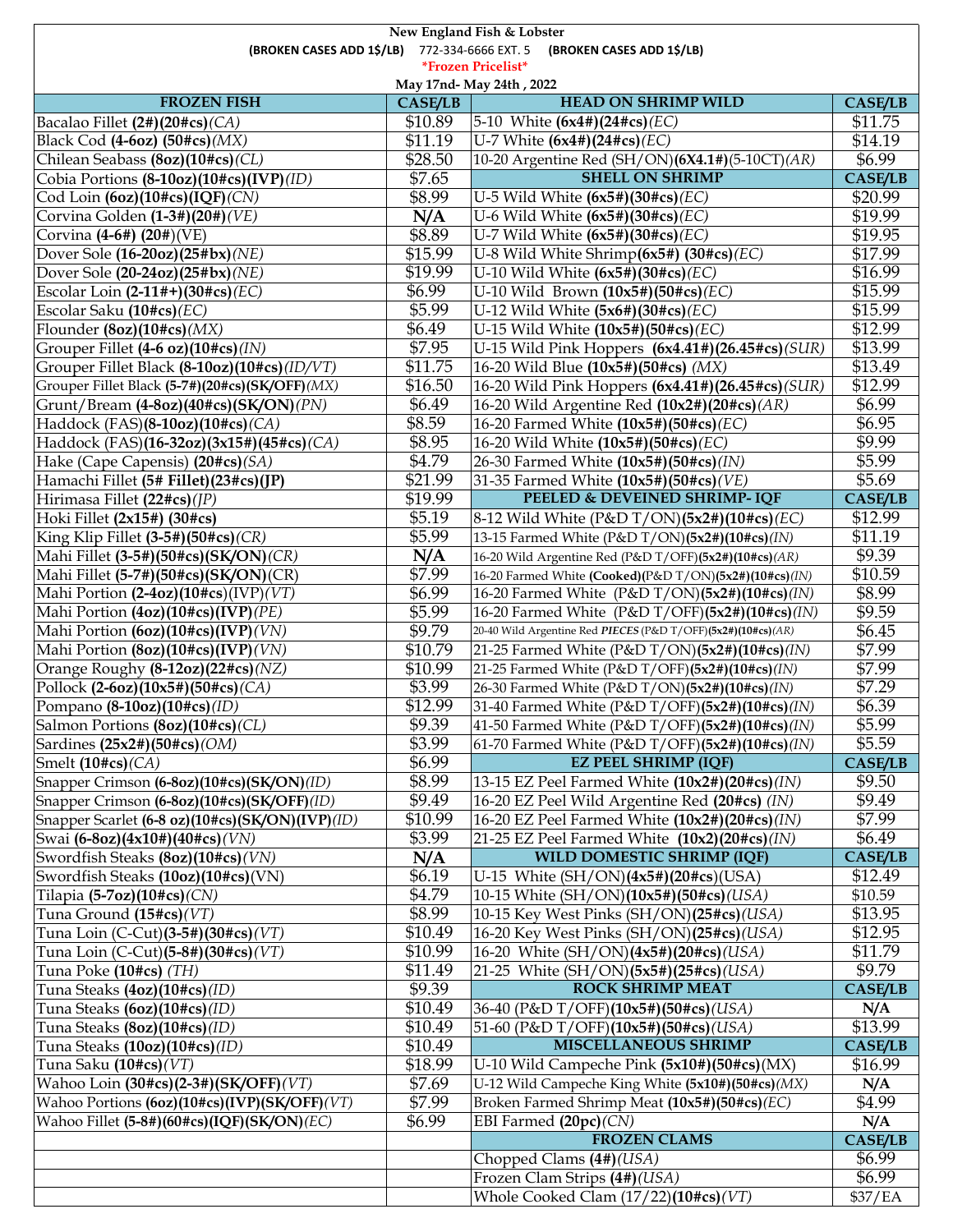| New England Fish & Lobster                                                 |                |                                                              |                     |  |  |
|----------------------------------------------------------------------------|----------------|--------------------------------------------------------------|---------------------|--|--|
| (BROKEN CASES ADD 1\$/LB) 772-334-6666 EXT. 5<br>(BROKEN CASES ADD 1\$/LB) |                |                                                              |                     |  |  |
| *Frozen Pricelist*                                                         |                |                                                              |                     |  |  |
|                                                                            |                | May 17nd- May 24th, 2022                                     |                     |  |  |
| <b>FROZEN FISH</b>                                                         | <b>CASE/LB</b> | <b>HEAD ON SHRIMP WILD</b>                                   | <b>CASE/LB</b>      |  |  |
| Bacalao Fillet (2#)(20#cs)(CA)                                             | \$10.89        | 5-10 White $(6x4#)(24#cs)$ ( <i>EC</i> )                     | \$11.75             |  |  |
| Black Cod $(4-6oz)$ $(50\#cs)(MX)$                                         | \$11.19        | U-7 White $(6x4#)(24#cs)$ ( <i>EC</i> )                      | \$14.19             |  |  |
| Chilean Seabass (8oz)(10#cs)(CL)                                           | \$28.50        | 10-20 Argentine Red (SH/ON)(6X4.1#)(5-10CT)(AR)              | \$6.99              |  |  |
| Cobia Portions (8-10oz)(10#cs)(IVP)(ID)                                    | \$7.65         | <b>SHELL ON SHRIMP</b>                                       | <b>CASE/LB</b>      |  |  |
| Cod Loin (6oz)(10#cs)(IQF)(CN)                                             | \$8.99         | U-5 Wild White $(6x5#)(30#cs)$ (EC)                          | \$20.99             |  |  |
| Corvina Golden (1-3#)(20#)(VE)                                             | N/A            | U-6 Wild White $(6x5#)(30#cs)$ (EC)                          | \$19.99             |  |  |
| Corvina (4-6#) (20#)(VE)                                                   | \$8.89         | U-7 Wild White $(6x5#)(30#cs)$ (EC)                          | \$19.95             |  |  |
| Dover Sole (16-20oz)(25#bx)(NE)                                            | \$15.99        | U-8 Wild White Shrimp $(6x5#)$ $(30#cs)(EC)$                 | \$17.99             |  |  |
| Dover Sole (20-24oz)(25#bx)(NE)                                            | \$19.99        | U-10 Wild White $(6x5#)(30#cs)$ ( <i>EC</i> )                | \$16.99             |  |  |
|                                                                            | \$6.99         |                                                              | \$15.99             |  |  |
| Escolar Loin $(2-11#+(30#cs)(EC))$                                         | \$5.99         | U-10 Wild Brown $(10x5#)(50#cs)$ ( <i>EC</i> )               |                     |  |  |
| Escolar Saku (10#cs) (EC)                                                  |                | U-12 Wild White $(5x6#)(30*cs)$ (EC)                         | \$15.99             |  |  |
| Flounder $(8oz)(10\#cs)(MX)$                                               | \$6.49         | U-15 Wild White $(10x5\#)(50\#cs)(EC)$                       | \$12.99             |  |  |
| Grouper Fillet (4-6 oz)(10#cs)(IN)                                         | \$7.95         | U-15 Wild Pink Hoppers (6x4.41#)(26.45#cs)(SUR)              | \$13.99             |  |  |
| Grouper Fillet Black (8-10oz)(10#cs)(ID/VT)                                | \$11.75        | 16-20 Wild Blue (10x5#)(50#cs) (MX)                          | \$13.49             |  |  |
| Grouper Fillet Black (5-7#)(20#cs)(SK/OFF)(MX)                             | \$16.50        | 16-20 Wild Pink Hoppers (6x4.41#)(26.45#cs)(SUR)             | \$12.99             |  |  |
| Grunt/Bream (4-8oz)(40#cs)(SK/ON)(PN)                                      | \$6.49         | 16-20 Wild Argentine Red $(10x2\#)(20\#cs)(AR)$              | \$6.99              |  |  |
| Haddock (FAS)(8-10oz)(10#cs)(CA)                                           | \$8.59         | 16-20 Farmed White (10x5#)(50#cs)(EC)                        | \$6.95              |  |  |
| Haddock (FAS)(16-32oz)(3x15#)(45#cs)(CA)                                   | \$8.95         | 16-20 Wild White (10x5#)(50#cs)(EC)                          | \$9.99              |  |  |
| Hake (Cape Capensis) (20#cs)(SA)                                           | \$4.79         | 26-30 Farmed White (10x5#)(50#cs)(IN)                        | \$5.99              |  |  |
| Hamachi Fillet (5# Fillet) (23#cs) (JP)                                    | \$21.99        | 31-35 Farmed White (10x5#)(50#cs)(VE)                        | \$5.69              |  |  |
| Hirimasa Fillet (22#cs)(JP)                                                | \$19.99        | PEELED & DEVEINED SHRIMP-IQF                                 | <b>CASE/LB</b>      |  |  |
| Hoki Fillet (2x15#) (30#cs)                                                | \$5.19         | 8-12 Wild White (P&D T/ON)(5x2#)(10#cs)(EC)                  | $\overline{$}12.99$ |  |  |
| King Klip Fillet $(3-5#)(50\#cs)(CR)$                                      | \$5.99         | 13-15 Farmed White (P&D T/ON)(5x2#)(10#cs)(IN)               | \$11.19             |  |  |
| Mahi Fillet (3-5#)(50#cs)(SK/ON)(CR)                                       | N/A            | 16-20 Wild Argentine Red (P&D T/OFF)(5x2#)(10#cs)(AR)        | \$9.39              |  |  |
| Mahi Fillet $(5-7#)(50\#cs)(SK/ON)(CR)$                                    | \$7.99         | 16-20 Farmed White (Cooked)(P&D T/ON)(5x2#)(10#cs)(IN)       | \$10.59             |  |  |
| Mahi Portion $(2-4oz)(10\#cs)(IVP)(VT)$                                    | \$6.99         | 16-20 Farmed White (P&D T/ON)(5x2#)(10#cs)(IN)               | \$8.99              |  |  |
| Mahi Portion (4oz)(10#cs)(IVP)(PE)                                         | \$5.99         | 16-20 Farmed White (P&D T/OFF)(5x2#)(10#cs)(IN)              | \$9.59              |  |  |
| Mahi Portion (6oz)(10#cs)(IVP)(VN)                                         | \$9.79         | 20-40 Wild Argentine Red PIECES (P&D T/OFF)(5x2#)(10#cs)(AR) | \$6.45              |  |  |
| Mahi Portion (8oz)(10#cs)(IVP)(VN)                                         | \$10.79        | 21-25 Farmed White (P&D T/ON)(5x2#)(10#cs)(IN)               | \$7.99              |  |  |
| Orange Roughy (8-12oz)(22#cs)(NZ)                                          | \$10.99        | 21-25 Farmed White (P&D T/OFF)(5x2#)(10#cs)(IN)              | \$7.99              |  |  |
| Pollock (2-6oz)(10x5#)(50#cs)(CA)                                          | \$3.99         |                                                              | \$7.29              |  |  |
|                                                                            |                | 26-30 Farmed White (P&D T/ON)(5x2#)(10#cs)(IN)               |                     |  |  |
| Pompano (8-10oz)(10#cs)(ID)                                                | \$12.99        | 31-40 Farmed White (P&D T/OFF)(5x2#)(10#cs)(IN)              | \$6.39<br>\$5.99    |  |  |
| Salmon Portions (8oz)(10#cs)(CL)                                           | \$9.39         | 41-50 Farmed White (P&D T/OFF)(5x2#)(10#cs)(IN)              |                     |  |  |
| Sardines (25x2#)(50#cs)(OM)                                                | \$3.99         | 61-70 Farmed White (P&D T/OFF)(5x2#)(10#cs)(IN)              | \$5.59              |  |  |
| Smelt $(10\#cs)(CA)$                                                       | \$6.99         | <b>EZ PEEL SHRIMP (IQF)</b>                                  | <b>CASE/LB</b>      |  |  |
| Snapper Crimson (6-8oz)(10#cs)(SK/ON)(ID)                                  | \$8.99         | 13-15 EZ Peel Farmed White $(10x2\#)(20\#cs)(1N)$            | \$9.50              |  |  |
| Snapper Crimson (6-8oz)(10#cs)(SK/OFF)(ID)                                 | \$9.49         | 16-20 EZ Peel Wild Argentine Red (20#cs) (IN)                | \$9.49              |  |  |
| Snapper Scarlet (6-8 oz)(10#cs)(SK/ON)(IVP)(ID)                            | \$10.99        | 16-20 EZ Peel Farmed White (10x2#)(20#cs)(IN)                | \$7.99              |  |  |
| Swai (6-8oz)(4x10#)(40#cs)(VN)                                             | \$3.99         | 21-25 EZ Peel Farmed White $(10x2)(20\#cs)(1N)$              | \$6.49              |  |  |
| Swordfish Steaks (8oz)(10#cs)(VN)                                          | N/A            | WILD DOMESTIC SHRIMP (IQF)                                   | <b>CASE/LB</b>      |  |  |
| Swordfish Steaks (10oz)(10#cs)(VN)                                         | \$6.19         | U-15 White $(SH/ON)(4x5#)(20#cs)(USA)$                       | \$12.49             |  |  |
| Tilapia $(5-7oz)(10\#cs)(CN)$                                              | \$4.79         | 10-15 White (SH/ON)(10x5#)(50#cs)(USA)                       | \$10.59             |  |  |
| Tuna Ground $(15\#cs)(VT)$                                                 | \$8.99         | 10-15 Key West Pinks (SH/ON)(25#cs)(USA)                     | \$13.95             |  |  |
| Tuna Loin (C-Cut)(3-5#)(30#cs)( $VT$ )                                     | \$10.49        | 16-20 Key West Pinks (SH/ON)(25#cs)(USA)                     | \$12.95             |  |  |
| Tuna Loin (C-Cut)(5-8#)(30#cs)(VT)                                         | \$10.99        | 16-20 White (SH/ON)(4x5#)(20#cs)(USA)                        | \$11.79             |  |  |
| Tuna Poke (10#cs) (TH)                                                     | \$11.49        | 21-25 White (SH/ON)(5x5#)(25#cs)(USA)                        | \$9.79              |  |  |
| Tuna Steaks (4oz)(10#cs)(ID)                                               | \$9.39         | <b>ROCK SHRIMP MEAT</b>                                      | <b>CASE/LB</b>      |  |  |
| Tuna Steaks (6oz)(10#cs)(ID)                                               | \$10.49        | 36-40 (P&D T/OFF)(10x5#)(50#cs)(USA)                         | N/A                 |  |  |
| Tuna Steaks (8oz)(10#cs)(ID)                                               | \$10.49        | 51-60 (P&D T/OFF)(10x5#)(50#cs)(USA)                         | \$13.99             |  |  |
| Tuna Steaks (10oz)(10#cs)(ID)                                              | \$10.49        | <b>MISCELLANEOUS SHRIMP</b>                                  | <b>CASE/LB</b>      |  |  |
| Tuna Saku (10#cs) (VT)                                                     | \$18.99        | U-10 Wild Campeche Pink $(5x10\#)(50\#cs)(MX)$               | \$16.99             |  |  |
|                                                                            | \$7.69         |                                                              |                     |  |  |
| Wahoo Loin (30#cs)(2-3#)(SK/OFF)(VT)                                       |                | U-12 Wild Campeche King White (5x10#)(50#cs)(MX)             | N/A                 |  |  |
| Wahoo Portions (6oz)(10#cs)(IVP)(SK/OFF)(VT)                               | \$7.99         | Broken Farmed Shrimp Meat (10x5#)(50#cs)(EC)                 | \$4.99              |  |  |
| Wahoo Fillet (5-8#)(60#cs)(IQF)(SK/ON)(EC)                                 | \$6.99         | EBI Farmed (20pc)(CN)                                        | N/A                 |  |  |
|                                                                            |                | <b>FROZEN CLAMS</b>                                          | <b>CASE/LB</b>      |  |  |
|                                                                            |                | Chopped Clams (4#)(USA)                                      | \$6.99              |  |  |
|                                                                            |                | Frozen Clam Strips (4#)(USA)                                 | \$6.99              |  |  |
|                                                                            |                | Whole Cooked Clam (17/22)(10#cs)(VT)                         | \$37/EA             |  |  |